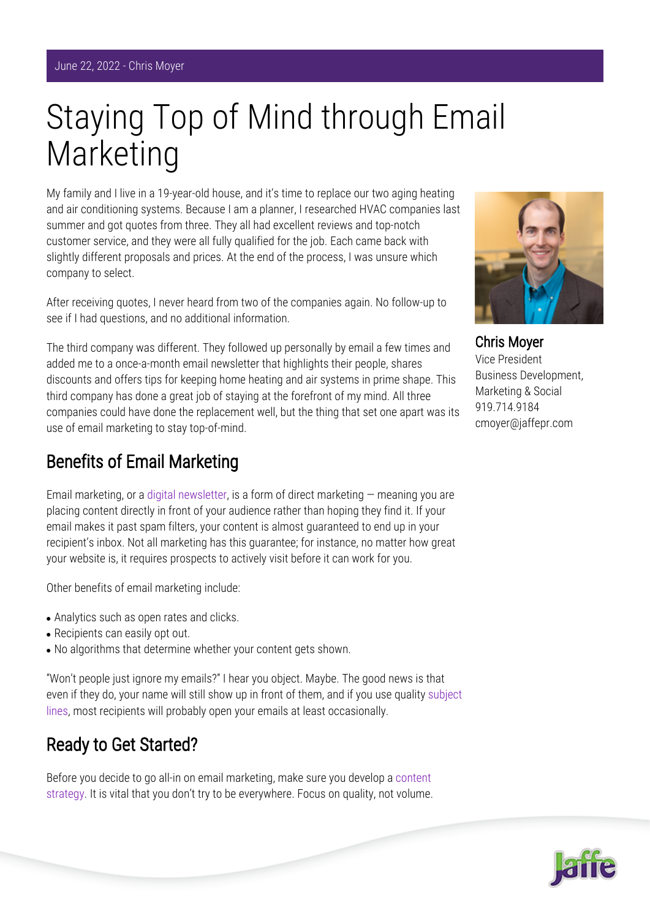# Staying Top of Mind through Email Marketing

My family and I live in a 19-year-old house, and it's time to replace our two aging heating and air conditioning systems. Because I am a planner, I researched HVAC companies last summer and got quotes from three. They all had excellent reviews and top-notch customer service, and they were all fully qualified for the job. Each came back with slightly different proposals and prices. At the end of the process, I was unsure which company to select.

After receiving quotes, I never heard from two of the companies again. No follow-up to see if I had questions, and no additional information.

The third company was different. They followed up personally by email a few times and added me to a once-a-month email newsletter that highlights their people, shares discounts and offers tips for keeping home heating and air systems in prime shape. This third company has done a great job of staying at the forefront of my mind. All three companies could have done the replacement well, but the thing that set one apart was its use of email marketing to stay top-of-mind.

#### Benefits of Email Marketing

Email marketing, or a [digital newsletter,](https://www.jaffepr.com/insights/6-factors-successful-newsletters) is a form of direct marketing  $-$  meaning you are placing content directly in front of your audience rather than hoping they find it. If your email makes it past spam filters, your content is almost guaranteed to end up in your recipient's inbox. Not all marketing has this guarantee; for instance, no matter how great your website is, it requires prospects to actively visit before it can work for you.

Other benefits of email marketing include:

- Analytics such as open rates and clicks.
- Recipients can easily opt out.
- No algorithms that determine whether your content gets shown.

"Won't people just ignore my emails?" I hear you object. Maybe. The good news is that even if they do, your name will still show up in front of them, and if you use quality [subject](https://www.jaffepr.com/blog/hurry-email-subject-line-tips-law-firms-while-supplies-last) [lines](https://www.jaffepr.com/blog/hurry-email-subject-line-tips-law-firms-while-supplies-last), most recipients will probably open your emails at least occasionally.

### Ready to Get Started?

Before you decide to go all-in on email marketing, make sure you develop a [content](https://www.jaffepr.com/insights/reduce-reuse-recycle-roi-repurposing-content) [strategy](https://www.jaffepr.com/insights/reduce-reuse-recycle-roi-repurposing-content). It is vital that you don't try to be everywhere. Focus on quality, not volume.



Chris Moyer Vice President Business Development, Marketing & Social 919.714.9184 cmoyer@jaffepr.com

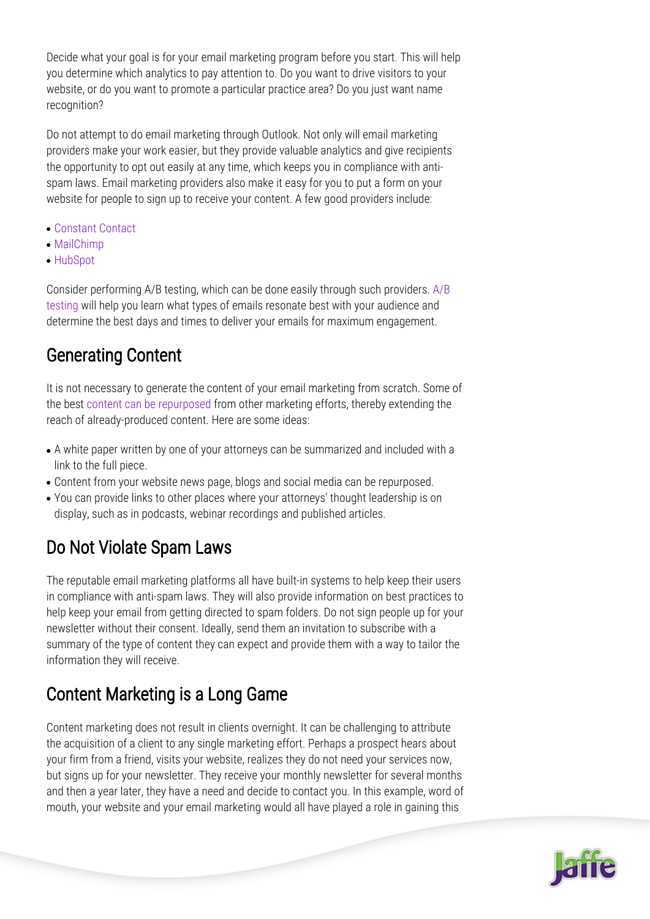Decide what your goal is for your email marketing program before you start. This will help you determine which analytics to pay attention to. Do you want to drive visitors to your website, or do you want to promote a particular practice area? Do you just want name recognition?

Do not attempt to do email marketing through Outlook. Not only will email marketing providers make your work easier, but they provide valuable analytics and give recipients the opportunity to opt out easily at any time, which keeps you in compliance with antispam laws. Email marketing providers also make it easy for you to put a form on your website for people to sign up to receive your content. A few good providers include:

- [Constant Contact](https://www.constantcontact.com/account-home)
- [MailChimp](https://mailchimp.com/)
- [HubSpot](https://www.hubspot.com/)

Consider performing A/B testing, which can be done easily through such providers. [A/B](https://www.jaffepr.com/blog/how-ab-testing-maximizes-email-marketing) [testing](https://www.jaffepr.com/blog/how-ab-testing-maximizes-email-marketing) will help you learn what types of emails resonate best with your audience and determine the best days and times to deliver your emails for maximum engagement.

## Generating Content

It is not necessary to generate the content of your email marketing from scratch. Some of the best [content can be repurposed](https://www.jaffepr.com/insights/reduce-reuse-recycle-roi-repurposing-content) from other marketing efforts, thereby extending the reach of already-produced content. Here are some ideas:

- A white paper written by one of your attorneys can be summarized and included with a link to the full piece.
- Content from your website news page, blogs and social media can be repurposed.
- You can provide links to other places where your attorneys' thought leadership is on display, such as in podcasts, webinar recordings and published articles.

# Do Not Violate Spam Laws

The reputable email marketing platforms all have built-in systems to help keep their users in compliance with anti-spam laws. They will also provide information on best practices to help keep your email from getting directed to spam folders. Do not sign people up for your newsletter without their consent. Ideally, send them an invitation to subscribe with a summary of the type of content they can expect and provide them with a way to tailor the information they will receive.

# Content Marketing is a Long Game

Content marketing does not result in clients overnight. It can be challenging to attribute the acquisition of a client to any single marketing effort. Perhaps a prospect hears about your firm from a friend, visits your website, realizes they do not need your services now, but signs up for your newsletter. They receive your monthly newsletter for several months and then a year later, they have a need and decide to contact you. In this example, word of mouth, your website and your email marketing would all have played a role in gaining this